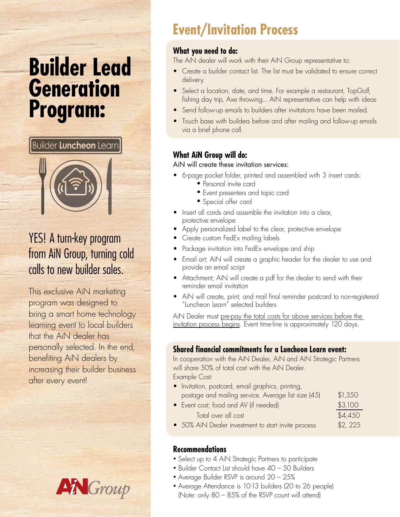# **Builder Lead Generation Program:**

**Builder Luncheon Learn** 



## YES! A turn-key program from AiN Group, turning cold calls to new builder sales.

This exclusive AiN marketing program was designed to bring a smart home technology learning event to local builders that the AiN dealer has personally selected. In the end, benefiting AiN dealers by increasing their builder business after every event!



# **Event/Invitation Process**

#### **What you need to do:**

The AiN dealer will work with their AiN Group representative to:

- Create a builder contact list. The list must be validated to ensure correct delivery.
- Select a location, date, and time. For example a restaurant, TopGolf, fishing day trip, Axe throwing... AiN representative can help with ideas
- Send follow-up emails to builders after invitations have been mailed.
- Touch base with builders before and after mailing and follow-up emails via a brief phone call.

#### **What AiN Group will do:**

#### AiN will create these invitation services:

- 6-page pocket folder, printed and assembled with 3 insert cards:
	- Personal invite card
	- Event presenters and topic card
	- Special offer card
- Insert all cards and assemble the invitation into a clear, protective envelope
- Apply personalized label to the clear, protective envelope
- Create custom FedEx mailing labels
- Package invitation into FedEx envelope and ship
- Email art; AiN will create a graphic header for the dealer to use and provide an email script
- Attachment; AiN will create a pdf for the dealer to send with their reminder email invitation
- AiN will create, print, and mail final reminder postcard to non-registered "Luncheon Learn" selected builders

AiN Dealer must pre-pay the total costs for above services before the invitation process begins. Event time-line is approximately 120 days.

#### **Shared financial commitments for a Luncheon Learn event:**

In cooperation with the AiN Dealer, AiN and AiN Strategic Partners will share 50% of total cost with the AiN Dealer. Example Cost:

- Invitation, postcard, email graphics, printing, postage and mailing service. Average list size  $(45)$  \$1,350 • Event cost; food and AV (if needed) \$3,100
	- Total over all cost  $$4,450$
- 50% AiN Dealer investment to start invite process \$2, 225

#### **Recommendations**

- Select up to 4 AiN Strategic Partners to participate
- Builder Contact List should have 40 50 Builders
- Average Builder RSVP is around 20 25%
- Average Attendance is 10-13 builders (20 to 26 people) (Note: only 80 – 85% of the RSVP count will attend)